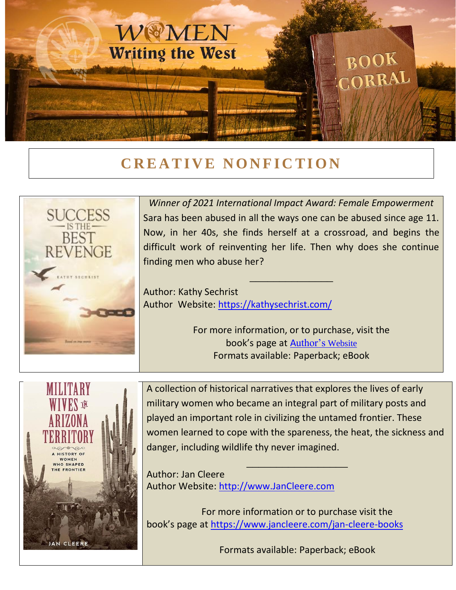

## **CREATIVE NONFICTION**



*Winner of 2021 International Impact Award: Female Empowerment* Sara has been abused in all the ways one can be abused since age 11. Now, in her 40s, she finds herself at a crossroad, and begins the difficult work of reinventing her life. Then why does she continue finding men who abuse her?

\_\_\_\_\_\_\_\_\_\_\_\_\_\_

Author: Kathy Sechrist Author Website:<https://kathysechrist.com/>

> For more information, or to purchase, visit the book's page at **A[uthor's](http://www.kathysechrist.com/) Website** Formats available: Paperback; eBook



A collection of historical narratives that explores the lives of early military women who became an integral part of military posts and played an important role in civilizing the untamed frontier. These women learned to cope with the spareness, the heat, the sickness and danger, including wildlife thy never imagined.

\_\_\_\_\_\_\_\_\_\_\_\_\_\_\_\_\_ Author: Jan Cleere Author Website: [http://www.JanCleere.com](http://www.jancleere.com/)

For more information or to purchase visit the book's page at<https://www.jancleere.com/jan-cleere-books>

Formats available: Paperback; eBook